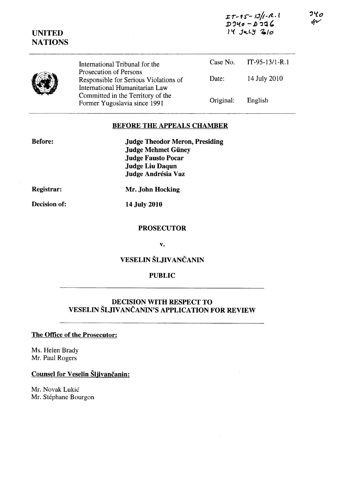| <b>UNITED</b><br><b>NATIONS</b> | International Tribunal for the<br>Prosecution of Persons<br>Responsible for Serious Violations of<br>International Humanitarian Law<br>Committed in the Territory of the<br>Former Yugoslavia since 1991 | $LT - 15 - 13/1 - R$ .<br>D $340 - D$ 336<br>$14$ $J4LY$ $210$ |                  |
|---------------------------------|----------------------------------------------------------------------------------------------------------------------------------------------------------------------------------------------------------|----------------------------------------------------------------|------------------|
|                                 |                                                                                                                                                                                                          | Case No.                                                       | $IT-95-13/1-R.1$ |
|                                 |                                                                                                                                                                                                          | Date:                                                          | 14 July 2010     |
|                                 |                                                                                                                                                                                                          | Original:                                                      | English          |

## **BEFORE THE APPEALS CHAMBER**

**Judge Theodor Meron, Presiding Judge Mehmet Güney Judge Fausto Pocar Judge Liu Daqun** Judge Andrésia Vaz

Registrar:

**Before:** 

Decision of:

Mr. John Hocking

14 July 2010

#### **PROSECUTOR**

V.

# VESELIN ŠLJIVANČANIN

### **PUBLIC**

# **DECISION WITH RESPECT TO** VESELIN ŠLJIVANČANIN'S APPLICATION FOR REVIEW

#### The Office of the Prosecutor:

Ms. Helen Brady Mr. Paul Rogers

**Counsel for Veselin Šljivančanin:** 

Mr. Novak Lukić Mr. Stéphane Bourgon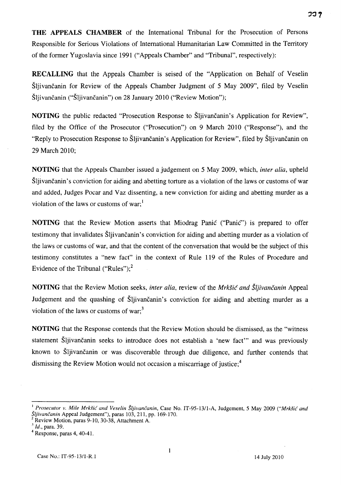**THE APPEALS CHAMBER** of the International Tribunal for the Prosecution of Persons

フコ ク

Responsible for Serious Violations of International Humanitarian Law Committed in the Territory of the former Yugoslavia since 1991 ("Appeals Chamber" and "Tribunal", respectively):

**RECALLING** that the Appeals Chamber is seised of the "Application on Behalf of Veselin Sljivancanin for Review of the Appeals Chamber Judgment of 5 May 2009", filed by Veselin Sljivancanin ("Sljivancanin") on 28 January 2010 ("Review Motion");

NOTING the public redacted "Prosecution Response to Šljivančanin's Application for Review", filed by the Office of the Prosecutor ("Prosecution") on 9 March 2010 ("Response"), and the "Reply to Prosecution Response to Šljivančanin's Application for Review", filed by Šljivančanin on 29 March 2010;

**NOTING** that the Appeals Chamber issued a judgement on 5 May 2009, which, *inter alia,* upheld Sljivančanin's conviction for aiding and abetting torture as a violation of the laws or customs of war and added, Judges Pocar and Vaz dissenting, a new conviction for aiding and abetting murder as a violation of the laws or customs of war;<sup>1</sup>

**NOTING** that the Review Motion asserts that Miodrag Panic ("Panic") is prepared to offer testimony that invalidates Šliivančanin's conviction for aiding and abetting murder as a violation of the laws or customs of war, and that the content of the conversation that would be the subject of this testimony constitutes a "new fact" in the context of Rule 119 of the Rules of Procedure and Evidence of the Tribunal ("Rules");<sup>2</sup>

**NOTING** that the Review Motion seeks, *inter alia*, review of the *Mrkšić and Šljivančanin* Appeal Judgement and the quashing of Šljivančanin's conviction for aiding and abetting murder as a violation of the laws or customs of war; $3$ 

**NOTING** that the Response contends that the Review Motion should be dismissed, as the "witness statement Šljivančanin seeks to introduce does not establish a 'new fact'" and was previously known to Šljivančanin or was discoverable through due diligence, and further contends that dismissing the Review Motion would not occasion a miscarriage of justice;4

<sup>&</sup>lt;sup>1</sup> Prosecutor v. Mile Mrkšić and Veselin Šljivančanin, Case No. IT-95-13/1-A, Judgement, 5 May 2009 *("Mrkšić and Sljivancanin* Appeal Judgement"), paras 103,211. pp. 169-170.

Review Motion, paras 9-10, 30-38, Attachment A.

<sup>3</sup>*Id.,* para. 39.

<sup>4</sup>Response, paras 4, 40-41.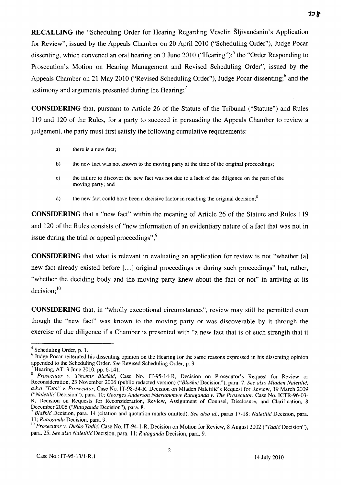RECALLING the "Scheduling Order for Hearing Regarding Veselin Šljivančanin's Application for Review", issued by the Appeals Chamber on 20 April 2010 ("Scheduling Order"), Judge Pocar dissenting, which convened an oral hearing on 3 June 2010 ("Hearing");<sup>5</sup> the "Order Responding to Prosecution's Motion on Hearing Management and Revised Scheduling Order", issued by the Appeals Chamber on 21 May 2010 ("Revised Scheduling Order"), Judge Pocar dissenting;<sup>6</sup> and the testimony and arguments presented during the Hearing;<sup>7</sup>

**CONSIDERING** that, pursuant to Article 26 of the Statute of the Tribunal ("Statute") and Rules 119 and 120 of the Rules, for a party to succeed in persuading the Appeals Chamber to review a judgement, the party must first satisfy the following cumulative requirements:

- a) there is a new fact;
- b) the new fact was not known to the moving party at the time of the original proceedings;
- c) the failure to discover the new fact was not due to a lack of due diligence on the part of the moving party; and
- d) the new fact could have been a decisive factor in reaching the original decision;<sup>8</sup>

**CONSIDERING** that a "new fact" within the meaning of Article 26 of the Statute and Rules 119 and 120 of the Rules consists of "new information of an evidentiary nature of a fact that was not in issue during the trial or appeal proceedings"; $\frac{9}{2}$ 

**CONSIDERING** that what is relevant in evaluating an application for review is not "whether [a] new fact already existed before [...] original proceedings or during such proceedings" but, rather, "whether the deciding body and the moving party knew about the fact or not" in arriving at its  $decision; <sup>10</sup>$ 

**CONSIDERING** that, in "wholly exceptional circumstances", review may still be permitted even though the "new fact" was known to the moving party or was discoverable by it through the exercise of due diligence if a Chamber is presented with "a new fact that is of such strength that it

**33 P** 

 $<sup>5</sup>$  Scheduling Order, p. 1.</sup>

<sup>&</sup>lt;sup>6</sup> Judge Pocar reiterated his dissenting opinion on the Hearing for the same reasons expressed in his dissenting opinion appended to the Scheduling Order. *See* Revised Scheduling Order, p. 3.

Hearing, AT. 3 June 2010, pp. 6-141.

<sup>8&</sup>lt;sup>8</sup> Prosecutor v. Tihomir Blaškić, Case No. IT-95-14-R, Decision on Prosecutor's Request for Review or Reconsideration, 23 November 2006 (public redacted version) *("BlaJkic* Decision"), para. 7. *See also Mladen Naletilic, a.k.a "Tuta"* v. *Prosecutor,* Case No. IT-98-34-R, Decision on Mladen Naletilic's Request for Review, 19 March 2009 *("Naletilic* Decision"), para. 10; *Georges Anderson Nderubumwe Rutaganda* v. *The Prosecutor,* Case No. ICTR-96-03- R, Decision on Requests for Reconsideration, Review, Assignment of Counsel, Disclosure, and Clarification, 8 December 2006 *("Rutaganda* Decision"), para. 8.

*<sup>9</sup> BlaJkic* Decision, para. 14 (citation and quotation marks omitted). *See also id.,* paras 17-18; *Naletilic* Decision, para. *11; Rutaganda* Decision, para. 9.

<sup>10&</sup>lt;sup>1</sup> Prosecutor v. Duško Tadić, Case No. IT-94-1-R, Decision on Motion for Review, 8 August 2002 *("Tadić Decision")*, para. 25. *See also Naletilic* Decision, para. 11; *Rutaganda* Decision, para. 9.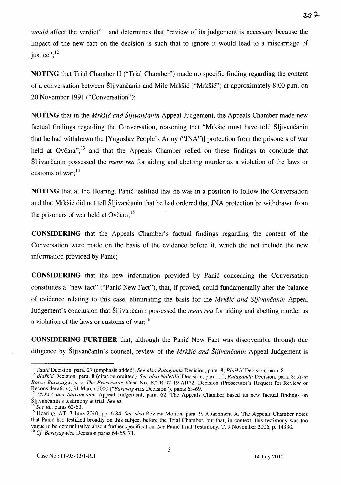*would* affect the verdict"<sup>11</sup> and determines that "review of its judgement is necessary because the impact of the new fact on the decision is such that to ignore it would lead to a miscarriage of justice"; $^{12}$ 

**NOTING** that Trial Chamber II ("Trial Chamber") made no specific finding regarding the content of a conversation between Šliivančanin and Mile Mrkšić ("Mrkšić") at approximately 8:00 p.m. on 20 November 1991 ("Conversation");

**NOTING** that in the *Mrkšić and Šljivančanin* Appeal Judgement, the Appeals Chamber made new factual findings regarding the Conversation, reasoning that "Mrkšić must have told Šljivančanin that he had withdrawn the [Yugoslav People's Army ("JNA")] protection from the prisoners of war held at Ovčara", $^{13}$  and that the Appeals Chamber relied on these findings to conclude that Sljivancanin possessed the *mens rea* for aiding and abetting murder as a violation of the laws or customs of war: $^{14}$ 

**NOTING** that at the Hearing, Panic testified that he was in a position to follow the Conversation and that Mrkšić did not tell Šljivančanin that he had ordered that JNA protection be withdrawn from the prisoners of war held at Ovčara;  $15$ 

**CONSIDERING** that the Appeals Chamber's factual findings regarding the content of the Conversation were made on the basis of the evidence before it, which did not include the new information provided by Panic;

**CONSIDERING** that the new information provided by Panic concerning the Conversation constitutes a "new fact" ("Panic New Fact"), that, if proved, could fundamentally alter the balance of evidence relating to this case, eliminating the basis for the *MrkSic and Sljivancanin* Appeal Judgement's conclusion that Šljivančanin possessed the *mens rea* for aiding and abetting murder as a violation of the laws or customs of war;  $16$ 

**CONSIDERING FURTHER** that, although the Panic New Fact was discoverable through due diligence by Sljivancanin's counsel, review of the *Mrksic and Sljivancanin* Appeal Judgement is

 $377$ 

I I *Tadic* Decision, para. 27 (emphasis added). *See also Rutaganda* Decision, para. 8; *Bla.fkic* Decision, para. 8.

<sup>12</sup>*BlaJkid* Decision, para. 8 (citation omitted). *See also Naletilic'* Decision, para. 10; *Rutaganda* Decision, para. 8; *Jean Bosco Barayagwiza v. The Prosecutor,* Case No. ICTR-97-19-AR72, Decision (Prosecutor's Request for Review or Reconsideration), 31 March 2000 *("Barayagwiza* Decision"), paras 63-69.

<sup>&</sup>lt;sup>13</sup> *Mrkšić and Sljivančanin* Appeal Judgement, para. 62. The Appeals Chamber based its new factual findings on Sljivancanin's testimony at trial. *See id.* 

<sup>14</sup>*See id.,* paras 62-63.

<sup>&</sup>lt;sup>15</sup> Hearing, AT. 3 June 2010, pp. 6-84. *See also* Review Motion, para. 9, Attachment A. The Appeals Chamber notes that Panic had testified broadly on this subject before the Trial Chamber, but that, in context, this testimony was too vague to be determinative absent further specification. *See* Panic Trial Testimony, T. 9 November 2006, p. 14330. 16 Cf *Barayagwiza* Decision paras 64-65, 71.